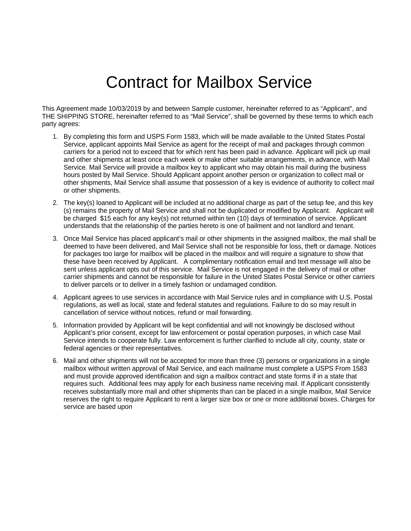## Contract for Mailbox Service

This Agreement made 10/03/2019 by and between Sample customer, hereinafter referred to as "Applicant", and THE SHIPPING STORE, hereinafter referred to as "Mail Service", shall be governed by these terms to which each party agrees:

- 1. By completing this form and USPS Form 1583, which will be made available to the United States Postal Service, applicant appoints Mail Service as agent for the receipt of mail and packages through common carriers for a period not to exceed that for which rent has been paid in advance. Applicant will pick up mail and other shipments at least once each week or make other suitable arrangements, in advance, with Mail Service. Mail Service will provide a mailbox key to applicant who may obtain his mail during the business hours posted by Mail Service. Should Applicant appoint another person or organization to collect mail or other shipments, Mail Service shall assume that possession of a key is evidence of authority to collect mail or other shipments.
- 2. The key(s) loaned to Applicant will be included at no additional charge as part of the setup fee, and this key (s) remains the property of Mail Service and shall not be duplicated or modified by Applicant. Applicant will be charged \$15 each for any key(s) not returned within ten (10) days of termination of service. Applicant understands that the relationship of the parties hereto is one of bailment and not landlord and tenant.
- 3. Once Mail Service has placed applicant's mail or other shipments in the assigned mailbox, the mail shall be deemed to have been delivered, and Mail Service shall not be responsible for loss, theft or damage. Notices for packages too large for mailbox will be placed in the mailbox and will require a signature to show that these have been received by Applicant. A complimentary notification email and text message will also be sent unless applicant opts out of this service. Mail Service is not engaged in the delivery of mail or other carrier shipments and cannot be responsible for failure in the United States Postal Service or other carriers to deliver parcels or to deliver in a timely fashion or undamaged condition.
- 4. Applicant agrees to use services in accordance with Mail Service rules and in compliance with U.S. Postal regulations, as well as local, state and federal statutes and regulations. Failure to do so may result in cancellation of service without notices, refund or mail forwarding.
- 5. Information provided by Applicant will be kept confidential and will not knowingly be disclosed without Applicant's prior consent, except for law enforcement or postal operation purposes, in which case Mail Service intends to cooperate fully. Law enforcement is further clarified to include all city, county, state or federal agencies or their representatives.
- 6. Mail and other shipments will not be accepted for more than three (3) persons or organizations in a single mailbox without written approval of Mail Service, and each mailname must complete a USPS From 1583 and must provide approved identification and sign a mailbox contract and state forms if in a state that requires such. Additional fees may apply for each business name receiving mail. If Applicant consistently receives substantially more mail and other shipments than can be placed in a single mailbox, Mail Service reserves the right to require Applicant to rent a larger size box or one or more additional boxes. Charges for service are based upon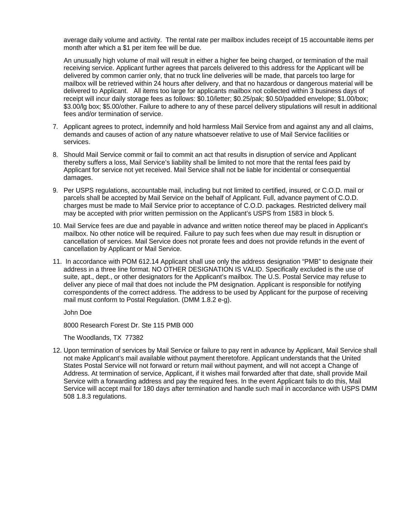average daily volume and activity. The rental rate per mailbox includes receipt of 15 accountable items per month after which a \$1 per item fee will be due.

 An unusually high volume of mail will result in either a higher fee being charged, or termination of the mail receiving service. Applicant further agrees that parcels delivered to this address for the Applicant will be delivered by common carrier only, that no truck line deliveries will be made, that parcels too large for mailbox will be retrieved within 24 hours after delivery, and that no hazardous or dangerous material will be delivered to Applicant. All items too large for applicants mailbox not collected within 3 business days of receipt will incur daily storage fees as follows: \$0.10/letter; \$0.25/pak; \$0.50/padded envelope; \$1.00/box; \$3.00/lg box; \$5.00/other. Failure to adhere to any of these parcel delivery stipulations will result in additional fees and/or termination of service.

- 7. Applicant agrees to protect, indemnify and hold harmless Mail Service from and against any and all claims, demands and causes of action of any nature whatsoever relative to use of Mail Service facilities or services.
- 8. Should Mail Service commit or fail to commit an act that results in disruption of service and Applicant thereby suffers a loss, Mail Service's liability shall be limited to not more that the rental fees paid by Applicant for service not yet received. Mail Service shall not be liable for incidental or consequential damages.
- 9. Per USPS regulations, accountable mail, including but not limited to certified, insured, or C.O.D. mail or parcels shall be accepted by Mail Service on the behalf of Applicant. Full, advance payment of C.O.D. charges must be made to Mail Service prior to acceptance of C.O.D. packages. Restricted delivery mail may be accepted with prior written permission on the Applicant's USPS from 1583 in block 5.
- 10. Mail Service fees are due and payable in advance and written notice thereof may be placed in Applicant's mailbox. No other notice will be required. Failure to pay such fees when due may result in disruption or cancellation of services. Mail Service does not prorate fees and does not provide refunds in the event of cancellation by Applicant or Mail Service.
- 11. In accordance with POM 612.14 Applicant shall use only the address designation "PMB" to designate their address in a three line format. NO OTHER DESIGNATION IS VALID. Specifically excluded is the use of suite, apt., dept., or other designators for the Applicant's mailbox. The U.S. Postal Service may refuse to deliver any piece of mail that does not include the PM designation. Applicant is responsible for notifying correspondents of the correct address. The address to be used by Applicant for the purpose of receiving mail must conform to Postal Regulation. (DMM 1.8.2 e-g).

John Doe

8000 Research Forest Dr. Ste 115 PMB 000

The Woodlands, TX 77382

12. Upon termination of services by Mail Service or failure to pay rent in advance by Applicant, Mail Service shall not make Applicant's mail available without payment theretofore. Applicant understands that the United States Postal Service will not forward or return mail without payment, and will not accept a Change of Address. At termination of service, Applicant, if it wishes mail forwarded after that date, shall provide Mail Service with a forwarding address and pay the required fees. In the event Applicant fails to do this, Mail Service will accept mail for 180 days after termination and handle such mail in accordance with USPS DMM 508 1.8.3 regulations.